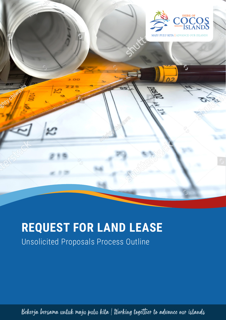

# **REQUEST FOR LAND LEASE**

Unsolicited Proposals Process Outline

Bekerja bersama untuk maju pulu kita | Working together to advance our islands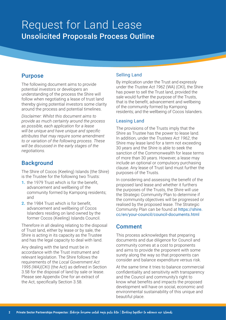## Request for Land Lease Unsolicited Proposals Process Outline

#### Purpose

The following document aims to provide potential investors or developers an understanding of the process the Shire will follow when negotiating a lease of trust land thereby giving potential investors some clarity around the process and potential timelines.

*Disclaimer: Whilst this document aims to provide as much certainty around the process as possible, each application for a lease will be unique and have unique and specific attributes that may require some amendment to or variation of the following process. These will be discussed in the early stages of the negotiations.*

#### **Background**

The Shire of Cocos (Keeling) Islands (the Shire) is the Trustee for the following two Trusts:

- 1. the 1979 Trust which is for the benefit. advancement and wellbeing of the community formed by Kampong residents; and
- 2. the 1984 Trust which is for benefit. advancement and wellbeing of Cocos Islanders residing on land owned by the former Cocos (Keeling) Islands Council.

Therefore in all dealing relating to the disposal of Trust land, either by lease or by sale, the Shire is acting in its capacity as the Trustee and has the legal capacity to deal with land.

Any dealing with the land must be in accordance with the Trust instrument and relevant legislation. The Shire follows the requirements of the *Local Government Act 1995 (WA)(CKI)* (the Act) as defined in Section 3.58 for the disposal of land by sale or lease. Please see Appendix One for an extract of the Act, specifically Section 3.58.

#### Selling Land

By implication under the Trust and expressly under the *Trustee Act 1962* (WA) (CKI), the Shire has power to sell the Trust land, provided the sale would further the purpose of the Trusts, that is the benefit, advancement and wellbeing of the community formed by Kampong residents; and the wellbeing of Cocos Islanders.

#### Leasing Land

The provisions of the Trusts imply that the Shire as Trustee has the power to lease land. In addition, under the *Trustees Act 1962*, the Shire may lease land for a term not exceeding 30 years and the Shire is able to seek the sanction of the Commonwealth for lease terms of more than 30 years. However, a lease may include an optional or compulsory purchasing clause. Any lease of Trust land must further the purposes of the Trusts.

In considering and assessing the benefit of the proposed land lease and whether it furthers the purposes of the Trusts, the Shire will use the Strategic Community Plan to determine if the community objectives will be progressed or realised by the proposed lease. The Strategic Community Plan can be found at [https://shire.](https://shire.cc/en/your-council/council-documents.html) [cc/en/your-council/council-documents.html](https://shire.cc/en/your-council/council-documents.html)

#### Comment

This process acknowledges that preparing documents and due diligence for Council and community comes at a cost to proponents and aims to provide the proponent with some surety along the way so that proponents can consider and balance expenditure versus risk.

At the same time it tries to balance commercial confidentiality and sensitivity with transparency and the Council and community's right to know what benefits and impacts the proposed development will have on social, economic and environmental sustainability of this unique and beautiful place.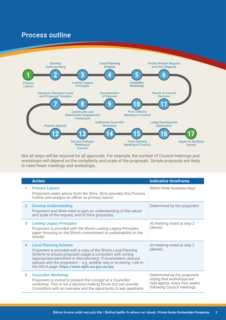### Process outline



Not all steps will be required for all approvals. For example, the number of Council meetings and workshops will depend on the complexity and scale of the proposals. Simple proposals are likely to need fewer meetings and workshops.

|              | <b>Action</b>                                                                                                                                                                                                                                                                                                                                               | <b>Indicative timeframe</b>                                                                                              |
|--------------|-------------------------------------------------------------------------------------------------------------------------------------------------------------------------------------------------------------------------------------------------------------------------------------------------------------------------------------------------------------|--------------------------------------------------------------------------------------------------------------------------|
| 1.           | <b>Primary Liaison</b><br>Proponent seeks advice from the Shire. Shire provides this Process<br>Outline and assigns an officer as primary liaison.                                                                                                                                                                                                          | Within three business days                                                                                               |
| $\mathbf{2}$ | <b>Develop Understanding</b><br>Proponent and Shire meet to gain an understanding of the nature<br>and scale of the request, and of Shire processes.                                                                                                                                                                                                        | Determined by the proponent                                                                                              |
| 3            | <b>Lasting Legacy Principles</b><br>Proponent is provided with the Shire's Lasting Legacy Principles<br>paper focusing on the Shire's commitment to sustainability on the<br>islands.                                                                                                                                                                       | At meeting noted at step 2<br>(above).                                                                                   |
| 4            | <b>Local Planning Scheme</b><br>Proponent is provided with a copy of the Shire's Local Planning<br>Scheme to ensure proposed usage is consistent with zoning<br>(appropriate/permitted or discretionary). If inconsistent, discuss<br>options with the proponent - e.g. another site or re-zoning. Link to<br>the DPLH page: https://www.dplh.wa.gov.au/lps | At meeting noted at step 2<br>(above).                                                                                   |
| 5.           | <b>Councillor Workshop</b><br>Proponent is invited to present the concept at a Councillor<br>workshop. This is not a decision-making forum but can provide<br>Councillors with an overview and the opportunity to ask questions.                                                                                                                            | Determined by the proponent<br>noting that workshops are<br>held approx. every four weeks<br>following Council meetings. |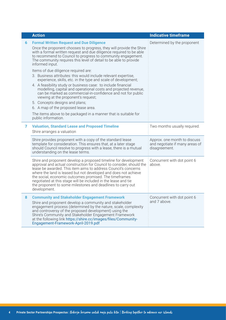|   | <b>Action</b>                                                                                                                                                                                                                                                                                                                                                                                                                                                                                                                                                                                                                                                                                                                                                                                                                                          | <b>Indicative timeframe</b>                                                     |
|---|--------------------------------------------------------------------------------------------------------------------------------------------------------------------------------------------------------------------------------------------------------------------------------------------------------------------------------------------------------------------------------------------------------------------------------------------------------------------------------------------------------------------------------------------------------------------------------------------------------------------------------------------------------------------------------------------------------------------------------------------------------------------------------------------------------------------------------------------------------|---------------------------------------------------------------------------------|
| 6 | <b>Formal Written Request and Due Diligence</b><br>Once the proponent chooses to progress, they will provide the Shire<br>with a formal written request and due diligence required to be able<br>to recommend to Council to progress to community engagement.<br>The community requires this level of detail to be able to provide<br>informed input.<br>Items of due diligence required are:<br>3. Business attributes: this would include relevant expertise,<br>experience, skills, etc. in the type and scale of development;<br>4. A feasibility study or business case: to include financial<br>modelling, capital and operational costs and projected revenue,<br>can be marked as commercial-in-confidence and not for public<br>viewing at the proponent's request;<br>5. Concepts designs and plans;<br>6. A map of the proposed lease area. | Determined by the proponent                                                     |
|   | The items above to be packaged in a manner that is suitable for<br>public information.                                                                                                                                                                                                                                                                                                                                                                                                                                                                                                                                                                                                                                                                                                                                                                 |                                                                                 |
| 7 | <b>Valuation, Standard Lease and Proposed Timeline</b><br>Shire arranges a valuation                                                                                                                                                                                                                                                                                                                                                                                                                                                                                                                                                                                                                                                                                                                                                                   | Two months usually required.                                                    |
|   | Shire provides proponent with a copy of the standard lease<br>template for consideration. This ensures that, at a later stage<br>should Council resolve to progress with a lease, there is a mutual<br>understanding on the lease terms.                                                                                                                                                                                                                                                                                                                                                                                                                                                                                                                                                                                                               | Approx. one month to discuss<br>and negotiate if many areas of<br>disagreement. |
|   | Shire and proponent develop a proposed timeline for development<br>approval and actual construction for Council to consider, should the<br>lease be awarded. This item aims to address Council's concerns<br>where the land is leased but not developed and does not achieve<br>the social, economic outcomes promised. The timeframes<br>negotiated at this stage will be included in the lease and tie<br>the proponent to some milestones and deadlines to carry out<br>development.                                                                                                                                                                                                                                                                                                                                                                | Concurrent with dot point 6<br>above.                                           |
| 8 | <b>Community and Stakeholder Engagement Framework</b><br>Shire and proponent develop a community and stakeholder<br>engagement process (determined by the nature, scale, complexity<br>and controversy of the proposed development) using the<br>Shire's Community and Stakeholder Engagement Framework<br>at the following link https://shire.cc/images/files/Community-<br>Engagement-Framework-April-2019.pdf                                                                                                                                                                                                                                                                                                                                                                                                                                       | Concurrent with dot point 6<br>and 7 above.                                     |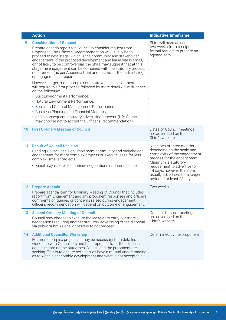|    | <b>Action</b>                                                                                                                                                                                                                                                                                                                                                                                                                                                                                                                                                                                                  | <b>Indicative timeframe</b>                                                                                                                   |
|----|----------------------------------------------------------------------------------------------------------------------------------------------------------------------------------------------------------------------------------------------------------------------------------------------------------------------------------------------------------------------------------------------------------------------------------------------------------------------------------------------------------------------------------------------------------------------------------------------------------------|-----------------------------------------------------------------------------------------------------------------------------------------------|
| 9  | <b>Consideration of Request</b><br>Prepare agenda report for Council to consider request from<br>Proponent. The Officer's Recommendation will usually be to<br>proceed to next stage, which is the community and stakeholder<br>engagement. If the proposed development and lease site is small,<br>or not likely to be controversial, the Shire may suggest that at this<br>stage the engagement can be combined with the statutory process<br>requirement (as per Appendix One) and that no further advertising<br>or engagement is required.<br>However, larger, more complex or controversial developments | Shire will need at least<br>two weeks from receipt of<br>formal request to prepare an<br>agenda item.                                         |
|    | will require this first process followed by more detail / due diligence<br>on the following:                                                                                                                                                                                                                                                                                                                                                                                                                                                                                                                   |                                                                                                                                               |
|    | • Built Environment Performance;                                                                                                                                                                                                                                                                                                                                                                                                                                                                                                                                                                               |                                                                                                                                               |
|    | • Natural Environment Performance;                                                                                                                                                                                                                                                                                                                                                                                                                                                                                                                                                                             |                                                                                                                                               |
|    | • Social and Cultural Management/Performance;<br>• Business Planning and Financial Modelling;                                                                                                                                                                                                                                                                                                                                                                                                                                                                                                                  |                                                                                                                                               |
|    | • and a subsequent statutory advertising process. (NB: Council                                                                                                                                                                                                                                                                                                                                                                                                                                                                                                                                                 |                                                                                                                                               |
|    | may choose not to accept the Officer's Recommendation)                                                                                                                                                                                                                                                                                                                                                                                                                                                                                                                                                         |                                                                                                                                               |
| 10 | <b>First Ordinary Meeting of Council</b>                                                                                                                                                                                                                                                                                                                                                                                                                                                                                                                                                                       | Dates of Council meetings<br>are advertised on the<br>Shire's website.                                                                        |
| 11 | <b>Result of Council Decision</b><br>Pending Council decision, implement community and stakeholder<br>engagement for more complex projects or execute lease for less<br>complex, smaller projects.<br>Council may resolve to continue negotiations or defer a decision.                                                                                                                                                                                                                                                                                                                                        | Need two or three months<br>depending on the scale and<br>complexity of the engagement<br>process for the engagement.<br>Minimum is statutory |
|    |                                                                                                                                                                                                                                                                                                                                                                                                                                                                                                                                                                                                                | requirement to advertise for<br>14 days, however the Shire<br>usually advertises for a longer<br>period of at least 28 days.                  |
| 12 | <b>Prepare Agenda</b><br>Prepare agenda item for Ordinary Meeting of Council that includes<br>report from Engagement and any proponent responses and officer's<br>comments on queries or concerns raised during engagement.<br>Officer's recommendation will depend on outcome of engagement.                                                                                                                                                                                                                                                                                                                  | Two weeks                                                                                                                                     |
| 13 | <b>Second Ordinary Meeting of Council</b><br>Council may choose to execute the lease or to carry out more<br>negotiations requiring another statutory advertising of the disposal<br>via public submissions, or resolve to not proceed.                                                                                                                                                                                                                                                                                                                                                                        | Dates of Council meetings<br>are advertised on the<br>Shire's website.                                                                        |
| 14 | <b>Additional Councillor Workshop</b><br>For more complex projects, it may be necessary for a detailed<br>workshop with Councillors and the proponent to further discuss<br>details regarding the outcomes Council and the proponent are<br>seeking. This is to ensure both parties have a mutual understanding<br>as to what is acceptable development and what is not acceptable.                                                                                                                                                                                                                            | Determined by the proponent                                                                                                                   |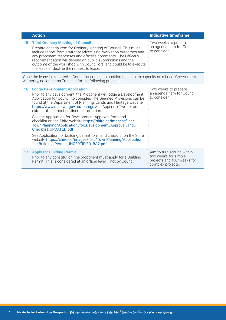|                                                                                                                                                                         | <b>Action</b>                                                                                                                                                                                                                                                                                                                                                                                                                  | <b>Indicative timeframe</b>                                                                           |  |  |
|-------------------------------------------------------------------------------------------------------------------------------------------------------------------------|--------------------------------------------------------------------------------------------------------------------------------------------------------------------------------------------------------------------------------------------------------------------------------------------------------------------------------------------------------------------------------------------------------------------------------|-------------------------------------------------------------------------------------------------------|--|--|
| 15                                                                                                                                                                      | <b>Third Ordinary Meeting of Council</b><br>Prepare agenda item for Ordinary Meeting of Council. This must<br>include report from statutory advertising, workshop outcomes and<br>any proponent responses and officer's comments. The Officer's<br>recommendation will depend on public submissions and the<br>outcome of the workshop with Councillors, and could be to execute<br>the lease or decline the request to lease. | Two weeks to prepare<br>an agenda item for Council<br>to consider                                     |  |  |
| Once the lease is executed - Council assumes its position to act in its capacity as a Local Government<br>Authority, no longer as Trustees for the following processes. |                                                                                                                                                                                                                                                                                                                                                                                                                                |                                                                                                       |  |  |
| 16                                                                                                                                                                      | <b>Lodge Development Application</b><br>Prior to any development, the Proponent will lodge a Development<br>Application for Council to consider. The Deemed Provisions can be<br>found at the Department of Planning, Lands and Heritage website<br>https://www.dplh.wa.gov.au/lpsregs See Appendix Two for an<br>extract of the most pertinent information.                                                                   | Two weeks to prepare<br>an agenda item for Council<br>to consider                                     |  |  |
|                                                                                                                                                                         | See the Application for Development Approval form and<br>checklist on the Shire website https://shire.cc/images/files/<br>TownPlanning/Application_for_Development_Approval_and_<br>Checklist_UPDATED.pdf                                                                                                                                                                                                                      |                                                                                                       |  |  |
|                                                                                                                                                                         | See Application for building permit form and checklist on the Shire<br>website https://shire.cc/images/files/TownPlanning/Application_<br>for_Building_Permit_UNCERTIFIED_BA2.pdf                                                                                                                                                                                                                                              |                                                                                                       |  |  |
| 17                                                                                                                                                                      | <b>Apply for Building Permit</b><br>Prior to any constitution, the proponent must apply for a Building<br>Permit. This is considered at an officer level - not by Council.                                                                                                                                                                                                                                                     | Aim to turn-around within<br>two weeks for simple<br>projects and four weeks for<br>complex projects. |  |  |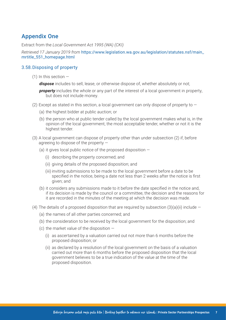#### Appendix One

Extract from the *Local Government Act 1995 (WA) (CKI)*

*Retrieved 17 January 2019 from* [https://www.legislation.wa.gov.au/legislation/statutes.nsf/main\\_](https://www.legislation.wa.gov.au/legislation/statutes.nsf/main_mrtitle_551_homepage.html) [mrtitle\\_551\\_homepage.html](https://www.legislation.wa.gov.au/legislation/statutes.nsf/main_mrtitle_551_homepage.html)

#### 3.58.Disposing of property

(1) In this section  $-$ 

*dispose* includes to sell, lease, or otherwise dispose of, whether absolutely or not;

**property** includes the whole or any part of the interest of a local government in property, but does not include money.

- (2) Except as stated in this section, a local government can only dispose of property to  $-$ 
	- (a) the highest bidder at public auction; or
	- (b) the person who at public tender called by the local government makes what is, in the opinion of the local government, the most acceptable tender, whether or not it is the highest tender.
- (3) A local government can dispose of property other than under subsection (2) if, before agreeing to dispose of the property —
	- (a) it gives local public notice of the proposed disposition  $-$ 
		- (i) describing the property concerned; and
		- (ii) giving details of the proposed disposition; and
		- (iii) inviting submissions to be made to the local government before a date to be specified in the notice, being a date not less than 2 weeks after the notice is first given; and
	- (b) it considers any submissions made to it before the date specified in the notice and, if its decision is made by the council or a committee, the decision and the reasons for it are recorded in the minutes of the meeting at which the decision was made.
- (4) The details of a proposed disposition that are required by subsection  $(3)(a)(ii)$  include
	- (a) the names of all other parties concerned; and
	- (b) the consideration to be received by the local government for the disposition; and
	- (c) the market value of the disposition  $-$ 
		- (i) as ascertained by a valuation carried out not more than 6 months before the proposed disposition; or
		- (ii) as declared by a resolution of the local government on the basis of a valuation carried out more than 6 months before the proposed disposition that the local government believes to be a true indication of the value at the time of the proposed disposition.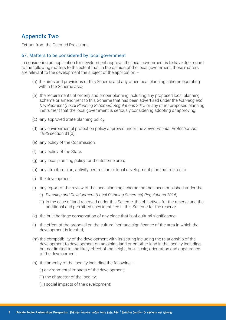#### Appendix Two

Extract from the Deemed Provisions:

#### 67. Matters to be considered by local government

In considering an application for development approval the local government is to have due regard to the following matters to the extent that, in the opinion of the local government, those matters are relevant to the development the subject of the application –

- (a) the aims and provisions of this Scheme and any other local planning scheme operating within the Scheme area;
- (b) the requirements of orderly and proper planning including any proposed local planning scheme or amendment to this Scheme that has been advertised under the *Planning and Development (Local Planning Schemes) Regulations 2015* or any other proposed planning instrument that the local government is seriously considering adopting or approving;
- (c) any approved State planning policy;
- (d) any environmental protection policy approved under the *Environmental Protection Act 1986* section 31(d);
- (e) any policy of the Commission;
- (f) any policy of the State;
- (g) any local planning policy for the Scheme area;
- (h) any structure plan, activity centre plan or local development plan that relates to
- (i) the development;
- (j) any report of the review of the local planning scheme that has been published under the
	- (i) *Planning and Development (Local Planning Schemes) Regulations 2015*;
	- (ii) in the case of land reserved under this Scheme, the objectives for the reserve and the additional and permitted uses identified in this Scheme for the reserve;
- (k) the built heritage conservation of any place that is of cultural significance;
- (l) the effect of the proposal on the cultural heritage significance of the area in which the development is located;
- (m) the compatibility of the development with its setting including the relationship of the development to development on adjoining land or on other land in the locality including, but not limited to, the likely effect of the height, bulk, scale, orientation and appearance of the development;
- (n) the amenity of the locality including the following  $-$ 
	- (i) environmental impacts of the development;
	- (ii) the character of the locality;
	- (iii) social impacts of the development;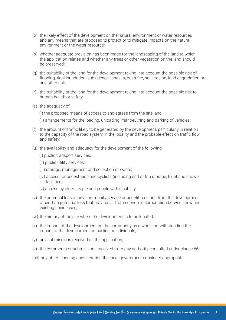- (o) the likely effect of the development on the natural environment or water resources and any means that are proposed to protect or to mitigate impacts on the natural environment or the water resource;
- (p) whether adequate provision has been made for the landscaping of the land to which the application relates and whether any trees or other vegetation on the land should be preserved;
- (q) the suitability of the land for the development taking into account the possible risk of flooding, tidal inundation, subsidence, landslip, bush fire, soil erosion, land degradation or any other risk;
- (r) the suitability of the land for the development taking into account the possible risk to human health or safety;
- (s) the adequacy of  $-$

(i) the proposed means of access to and egress from the site; and

- (ii) arrangements for the loading, unloading, manoeuvring and parking of vehicles;
- (t) the amount of traffic likely to be generated by the development, particularly in relation to the capacity of the road system in the locality and the probable effect on traffic flow and safety;
- (u) the availability and adequacy for the development of the following  $-$ 
	- (i) public transport services;
	- (ii) public utility services;
	- (iii) storage, management and collection of waste;
	- (iv) access for pedestrians and cyclists (including end of trip storage, toilet and shower facilities);
	- (v) access by older people and people with disability;
- (v) the potential loss of any community service or benefit resulting from the development other than potential loss that may result from economic competition between new and existing businesses;
- (w) the history of the site where the development is to be located;
- (x) the impact of the development on the community as a whole notwithstanding the impact of the development on particular individuals;
- (y) any submissions received on the application;
- (z) the comments or submissions received from any authority consulted under clause 66;
- (aa) any other planning consideration the local government considers appropriate.